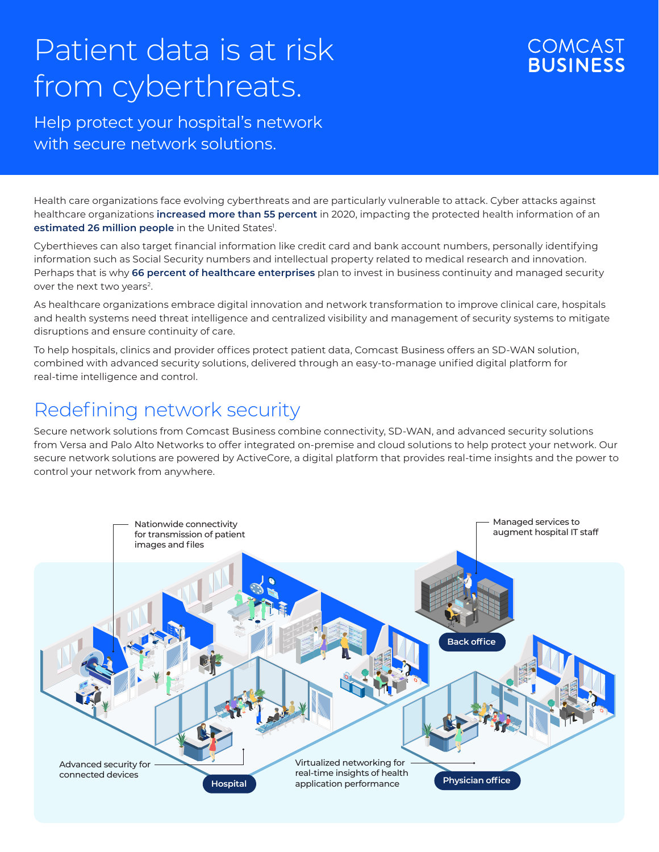# Patient data is at risk from cyberthreats.

### **COMCAST BUSINESS**

Help protect your hospital's network with secure network solutions.

Health care organizations face evolving cyberthreats and are particularly vulnerable to attack. Cyber attacks against healthcare organizations **increased more than 55 percent** in 2020, impacting the protected health information of an **estimated 26 million people** in the United States<sup>1</sup>.

Cyberthieves can also target financial information like credit card and bank account numbers, personally identifying information such as Social Security numbers and intellectual property related to medical research and innovation. Perhaps that is why **66 percent of healthcare enterprises** plan to invest in business continuity and managed security over the next two years<sup>2</sup>.

As healthcare organizations embrace digital innovation and network transformation to improve clinical care, hospitals and health systems need threat intelligence and centralized visibility and management of security systems to mitigate disruptions and ensure continuity of care.

To help hospitals, clinics and provider offices protect patient data, Comcast Business offers an SD-WAN solution, combined with advanced security solutions, delivered through an easy-to-manage unified digital platform for real-time intelligence and control.

## Redefining network security

Secure network solutions from Comcast Business combine connectivity, SD-WAN, and advanced security solutions from Versa and Palo Alto Networks to offer integrated on-premise and cloud solutions to help protect your network. Our secure network solutions are powered by ActiveCore, a digital platform that provides real-time insights and the power to control your network from anywhere.